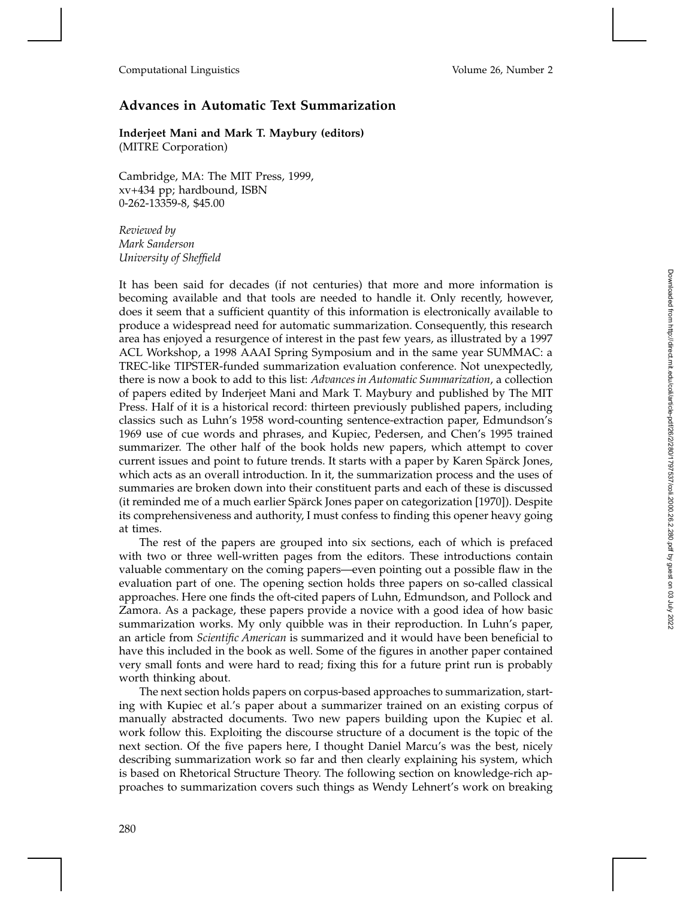## **Advances in Automatic Text Summarization**

**Inderjeet Mani and Mark T. Maybury (editors)** (MITRE Corporation)

Cambridge, MA: The MIT Press, 1999, xv+434 pp; hardbound, ISBN 0-262-13359-8, \$45.00

*Reviewed by Mark Sanderson University of Sheffield*

It has been said for decades (if not centuries) that more and more information is becoming available and that tools are needed to handle it. Only recently, however, does it seem that a sufficient quantity of this information is electronically available to produce a widespread need for automatic summarization. Consequently, this research area has enjoyed a resurgence of interest in the past few years, as illustrated by a 1997 ACL Workshop, a 1998 AAAI Spring Symposium and in the same year SUMMAC: a TREC-like TIPSTER-funded summarization evaluation conference. Not unexpectedly, there is now a book to add to this list: *Advances in Automatic Summarization*, a collection of papers edited by Inderjeet Mani and Mark T. Maybury and published by The MIT Press. Half of it is a historical record: thirteen previously published papers, including classics such as Luhn's 1958 word-counting sentence-extraction paper, Edmundson's 1969 use of cue words and phrases, and Kupiec, Pedersen, and Chen's 1995 trained summarizer. The other half of the book holds new papers, which attempt to cover current issues and point to future trends. It starts with a paper by Karen Spärck Jones, which acts as an overall introduction. In it, the summarization process and the uses of summaries are broken down into their constituent parts and each of these is discussed (it reminded me of a much earlier Spärck Jones paper on categorization [1970]). Despite its comprehensiveness and authority, I must confess to finding this opener heavy going at times.

The rest of the papers are grouped into six sections, each of which is prefaced with two or three well-written pages from the editors. These introductions contain valuable commentary on the coming papers—even pointing out a possible flaw in the evaluation part of one. The opening section holds three papers on so-called classical approaches. Here one finds the oft-cited papers of Luhn, Edmundson, and Pollock and Zamora. As a package, these papers provide a novice with a good idea of how basic summarization works. My only quibble was in their reproduction. In Luhn's paper, an article from *Scientific American* is summarized and it would have been beneficial to have this included in the book as well. Some of the figures in another paper contained very small fonts and were hard to read; fixing this for a future print run is probably worth thinking about.

The next section holds papers on corpus-based approaches to summarization, starting with Kupiec et al.'s paper about a summarizer trained on an existing corpus of manually abstracted documents. Two new papers building upon the Kupiec et al. work follow this. Exploiting the discourse structure of a document is the topic of the next section. Of the five papers here, I thought Daniel Marcu's was the best, nicely describing summarization work so far and then clearly explaining his system, which is based on Rhetorical Structure Theory. The following section on knowledge-rich approaches to summarization covers such things as Wendy Lehnert's work on breaking